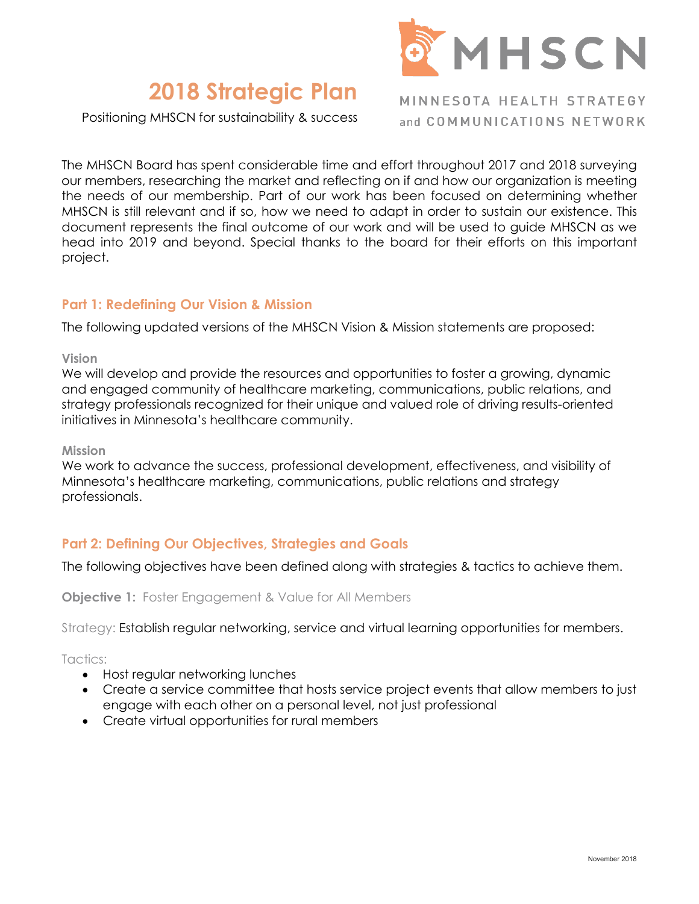

# **2018 Strategic Plan**

Positioning MHSCN for sustainability & success

MINNESOTA HEALTH STRATEGY and COMMUNICATIONS NETWORK

The MHSCN Board has spent considerable time and effort throughout 2017 and 2018 surveying our members, researching the market and reflecting on if and how our organization is meeting the needs of our membership. Part of our work has been focused on determining whether MHSCN is still relevant and if so, how we need to adapt in order to sustain our existence. This document represents the final outcome of our work and will be used to guide MHSCN as we head into 2019 and beyond. Special thanks to the board for their efforts on this important project.

### **Part 1: Redefining Our Vision & Mission**

The following updated versions of the MHSCN Vision & Mission statements are proposed:

#### **Vision**

We will develop and provide the resources and opportunities to foster a growing, dynamic and engaged community of healthcare marketing, communications, public relations, and strategy professionals recognized for their unique and valued role of driving results-oriented initiatives in Minnesota's healthcare community.

#### **Mission**

We work to advance the success, professional development, effectiveness, and visibility of Minnesota's healthcare marketing, communications, public relations and strategy professionals.

## **Part 2: Defining Our Objectives, Strategies and Goals**

The following objectives have been defined along with strategies & tactics to achieve them.

**Objective 1:** Foster Engagement & Value for All Members

Strategy: Establish regular networking, service and virtual learning opportunities for members.

Tactics:

- Host regular networking lunches
- Create a service committee that hosts service project events that allow members to just engage with each other on a personal level, not just professional
- Create virtual opportunities for rural members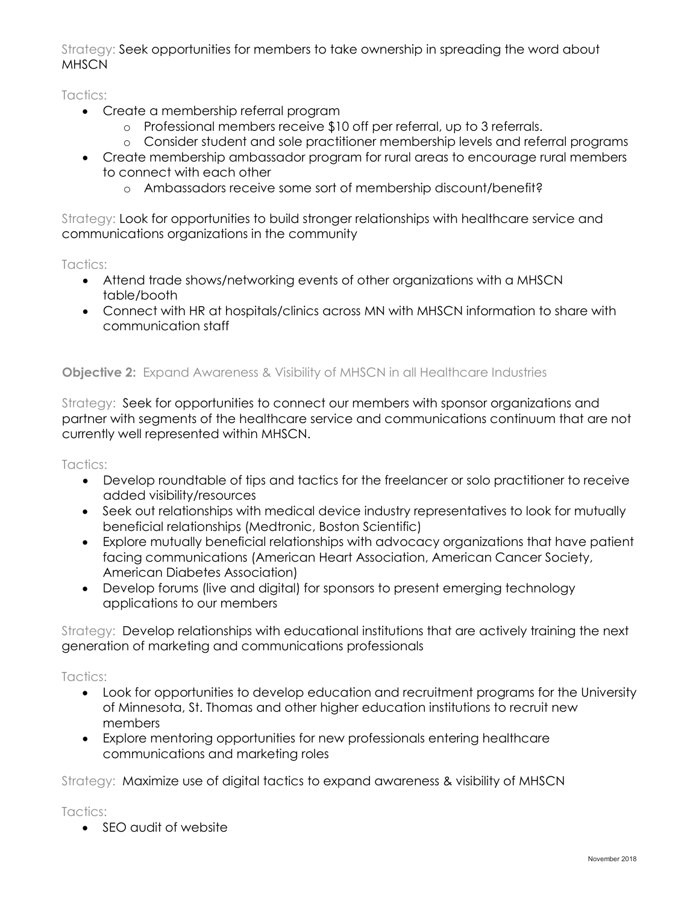Strategy: Seek opportunities for members to take ownership in spreading the word about **MHSCN** 

Tactics:

- Create a membership referral program
	- o Professional members receive \$10 off per referral, up to 3 referrals.
	- o Consider student and sole practitioner membership levels and referral programs
- Create membership ambassador program for rural areas to encourage rural members to connect with each other
	- o Ambassadors receive some sort of membership discount/benefit?

Strategy: Look for opportunities to build stronger relationships with healthcare service and communications organizations in the community

Tactics:

- Attend trade shows/networking events of other organizations with a MHSCN table/booth
- Connect with HR at hospitals/clinics across MN with MHSCN information to share with communication staff

# **Objective 2:** Expand Awareness & Visibility of MHSCN in all Healthcare Industries

Strategy: Seek for opportunities to connect our members with sponsor organizations and partner with segments of the healthcare service and communications continuum that are not currently well represented within MHSCN.

Tactics:

- Develop roundtable of tips and tactics for the freelancer or solo practitioner to receive added visibility/resources
- Seek out relationships with medical device industry representatives to look for mutually beneficial relationships (Medtronic, Boston Scientific)
- Explore mutually beneficial relationships with advocacy organizations that have patient facing communications (American Heart Association, American Cancer Society, American Diabetes Association)
- Develop forums (live and digital) for sponsors to present emerging technology applications to our members

Strategy: Develop relationships with educational institutions that are actively training the next generation of marketing and communications professionals

Tactics:

- Look for opportunities to develop education and recruitment programs for the University of Minnesota, St. Thomas and other higher education institutions to recruit new members
- Explore mentoring opportunities for new professionals entering healthcare communications and marketing roles

Strategy: Maximize use of digital tactics to expand awareness & visibility of MHSCN

Tactics:

• SEO audit of website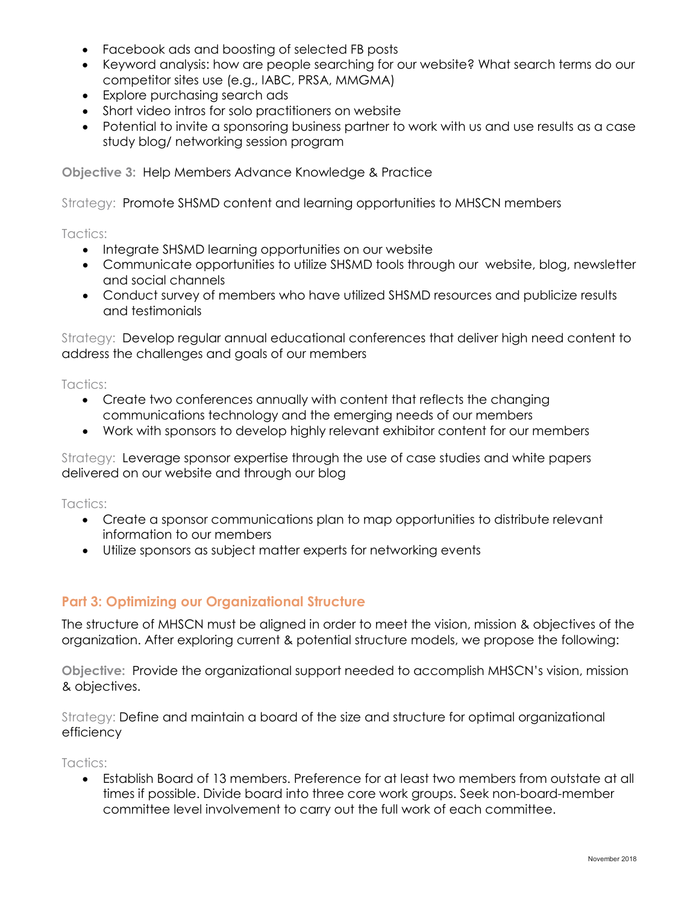- Facebook ads and boosting of selected FB posts
- Keyword analysis: how are people searching for our website? What search terms do our competitor sites use (e.g., IABC, PRSA, MMGMA)
- Explore purchasing search ads
- Short video intros for solo practitioners on website
- Potential to invite a sponsoring business partner to work with us and use results as a case study blog/ networking session program

**Objective 3:** Help Members Advance Knowledge & Practice

Strategy: Promote SHSMD content and learning opportunities to MHSCN members

Tactics:

- Integrate SHSMD learning opportunities on our website
- Communicate opportunities to utilize SHSMD tools through our website, blog, newsletter and social channels
- Conduct survey of members who have utilized SHSMD resources and publicize results and testimonials

Strategy: Develop regular annual educational conferences that deliver high need content to address the challenges and goals of our members

Tactics:

- Create two conferences annually with content that reflects the changing communications technology and the emerging needs of our members
- Work with sponsors to develop highly relevant exhibitor content for our members

Strategy: Leverage sponsor expertise through the use of case studies and white papers delivered on our website and through our blog

Tactics:

- Create a sponsor communications plan to map opportunities to distribute relevant information to our members
- Utilize sponsors as subject matter experts for networking events

# **Part 3: Optimizing our Organizational Structure**

The structure of MHSCN must be aligned in order to meet the vision, mission & objectives of the organization. After exploring current & potential structure models, we propose the following:

**Objective:** Provide the organizational support needed to accomplish MHSCN's vision, mission & objectives.

Strategy: Define and maintain a board of the size and structure for optimal organizational efficiency

Tactics:

• Establish Board of 13 members. Preference for at least two members from outstate at all times if possible. Divide board into three core work groups. Seek non-board-member committee level involvement to carry out the full work of each committee.